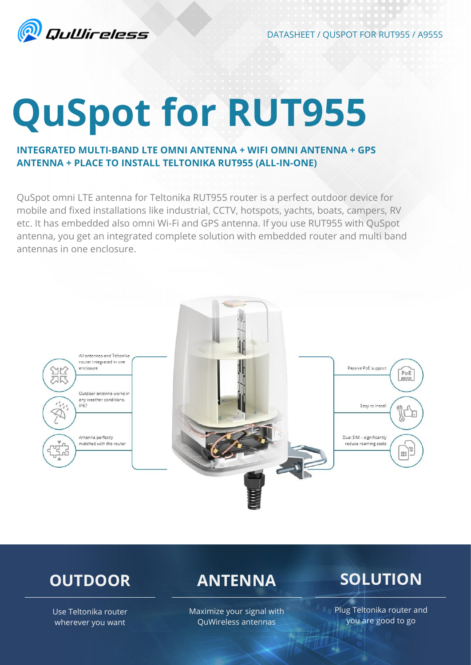

DATASHEET / QUSPOT FOR RUT955 / A955S

# **QuSpot for RUT955**

### **INTEGRATED MULTI-BAND LTE OMNI ANTENNA + WIFI OMNI ANTENNA + GPS ANTENNA + PLACE TO INSTALL TELTONIKA RUT955 (ALL-IN-ONE)**

QuSpot omni LTE antenna for Teltonika RUT955 router is a perfect outdoor device for mobile and fixed installations like industrial, CCTV, hotspots, yachts, boats, campers, RV etc. It has embedded also omni Wi-Fi and GPS antenna. If you use RUT955 with QuSpot antenna, you get an integrated complete solution with embedded router and multi band antennas in one enclosure.



### **OUTDOOR**

### **ANTENNA**

## **SOLUTION**

Use Teltonika router wherever you want

Maximize your signal with QuWireless antennas

Plug Teltonika router and you are good to go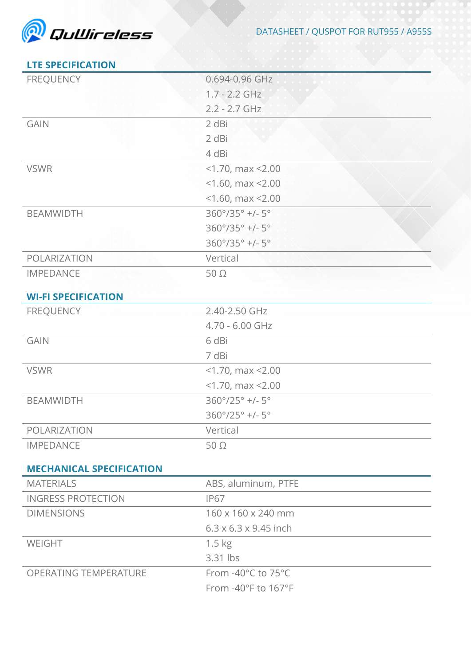

### **LTE SPECIFICATION**

| <b>FREQUENCY</b>                | 0.694-0.96 GHz                           |
|---------------------------------|------------------------------------------|
|                                 | $1.7 - 2.2$ GHz                          |
|                                 | $2.2 - 2.7$ GHz                          |
| <b>GAIN</b>                     | 2 dBi                                    |
|                                 | 2 dBi                                    |
|                                 | 4 dBi                                    |
| <b>VSWR</b>                     | $<$ 1.70, max $<$ 2.00                   |
|                                 | $<$ 1.60, max $<$ 2.00                   |
|                                 | $<$ 1.60, max $<$ 2.00                   |
| <b>BEAMWIDTH</b>                | 360°/35° +/- 5°                          |
|                                 | $360^{\circ}/35^{\circ}$ +/- $5^{\circ}$ |
|                                 | 360°/35° +/- 5°                          |
| POLARIZATION                    | Vertical                                 |
| <b>IMPEDANCE</b>                | $50\Omega$                               |
|                                 |                                          |
| <b>WI-FI SPECIFICATION</b>      |                                          |
| <b>FREQUENCY</b>                | 2.40-2.50 GHz                            |
|                                 | 4.70 - 6.00 GHz                          |
| <b>GAIN</b><br><b>VSWR</b>      | 6 dBi                                    |
|                                 | 7 dBi                                    |
|                                 | $<$ 1.70, max $<$ 2.00                   |
|                                 | $<$ 1.70, max $<$ 2.00                   |
| <b>BEAMWIDTH</b>                | $360^{\circ}/25^{\circ}$ +/- $5^{\circ}$ |
|                                 | 360°/25° +/- 5°                          |
| POLARIZATION                    | Vertical                                 |
| <b>IMPEDANCE</b>                | $50\Omega$                               |
| <b>MECHANICAL SPECIFICATION</b> |                                          |
| <b>MATERIALS</b>                | ABS, aluminum, PTFE                      |
| <b>INGRESS PROTECTION</b>       | <b>IP67</b>                              |
| <b>DIMENSIONS</b>               | 160 x 160 x 240 mm                       |
|                                 | $6.3 \times 6.3 \times 9.45$ inch        |
| WEIGHT                          | $1.5 \text{ kg}$                         |
|                                 | 3.31 lbs                                 |
| <b>OPERATING TEMPERATURE</b>    | From -40°C to 75°C                       |
|                                 | From -40°F to 167°F                      |
|                                 |                                          |